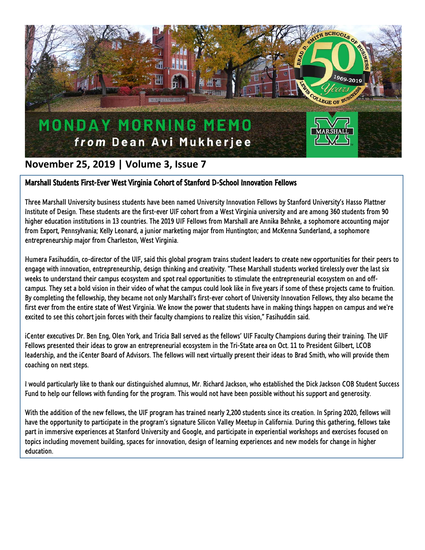

## **November 25, 2019 | Volume 3, Issue 7**

## Marshall Students First-Ever West Virginia Cohort of Stanford D-School Innovation Fellows

Three Marshall University business students have been named University Innovation Fellows by Stanford University's Hasso Plattner Institute of Design. These students are the first-ever UIF cohort from a West Virginia university and are among 360 students from 90 higher education institutions in 13 countries. The 2019 UIF Fellows from Marshall are Annika Behnke, a sophomore accounting major from Export, Pennsylvania; Kelly Leonard, a junior marketing major from Huntington; and McKenna Sunderland, a sophomore entrepreneurship major from Charleston, West Virginia.

Humera Fasihuddin, co-director of the UIF, said this global program trains student leaders to create new opportunities for their peers to engage with innovation, entrepreneurship, design thinking and creativity. "These Marshall students worked tirelessly over the last six weeks to understand their campus ecosystem and spot real opportunities to stimulate the entrepreneurial ecosystem on and offcampus. They set a bold vision in their video of what the campus could look like in five years if some of these projects came to fruition. By completing the fellowship, they became not only Marshall's first-ever cohort of University Innovation Fellows, they also became the first ever from the entire state of West Virginia. We know the power that students have in making things happen on campus and we're excited to see this cohort join forces with their faculty champions to realize this vision," Fasihuddin said.

iCenter executives Dr. Ben Eng, Olen York, and Tricia Ball served as the fellows' UIF Faculty Champions during their training. The UIF Fellows presented their ideas to grow an entrepreneurial ecosystem in the Tri-State area on Oct. 11 to President Gilbert, LCOB leadership, and the iCenter Board of Advisors. The fellows will next virtually present their ideas to Brad Smith, who will provide them coaching on next steps.

I would particularly like to thank our distinguished alumnus, Mr. Richard Jackson, who established the Dick Jackson COB Student Success Fund to help our fellows with funding for the program. This would not have been possible without his support and generosity.

With the addition of the new fellows, the UIF program has trained nearly 2,200 students since its creation. In Spring 2020, fellows will have the opportunity to participate in the program's signature Silicon Valley Meetup in California. During this gathering, fellows take part in immersive experiences at Stanford University and Google, and participate in experiential workshops and exercises focused on topics including movement building, spaces for innovation, design of learning experiences and new models for change in higher education.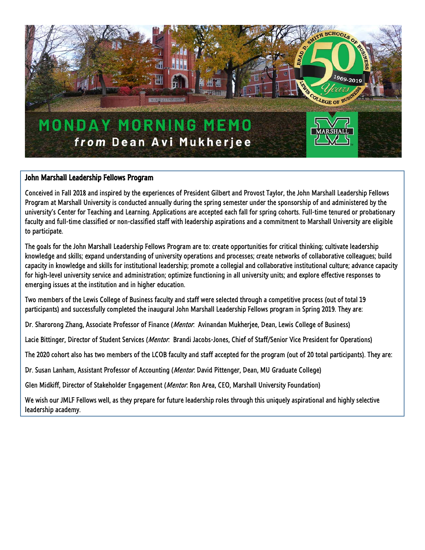

## John Marshall Leadership Fellows Program

Conceived in Fall 2018 and inspired by the experiences of President Gilbert and Provost Taylor, the John Marshall Leadership Fellows Program at Marshall University is conducted annually during the spring semester under the sponsorship of and administered by the university's Center for Teaching and Learning. Applications are accepted each fall for spring cohorts. Full-time tenured or probationary faculty and full-time classified or non-classified staff with leadership aspirations and a commitment to Marshall University are eligible to participate.

The goals for the John Marshall Leadership Fellows Program are to: create opportunities for critical thinking; cultivate leadership knowledge and skills; expand understanding of university operations and processes; create networks of collaborative colleagues; build capacity in knowledge and skills for institutional leadership; promote a collegial and collaborative institutional culture; advance capacity for high-level university service and administration; optimize functioning in all university units; and explore effective responses to emerging issues at the institution and in higher education.

Two members of the Lewis College of Business faculty and staff were selected through a competitive process (out of total 19 participants) and successfully completed the inaugural John Marshall Leadership Fellows program in Spring 2019. They are:

Dr. Sharorong Zhang, Associate Professor of Finance (Mentor: Avinandan Mukherjee, Dean, Lewis College of Business)

Lacie Bittinger, Director of Student Services (Mentor: Brandi Jacobs-Jones, Chief of Staff/Senior Vice President for Operations)

The 2020 cohort also has two members of the LCOB faculty and staff accepted for the program (out of 20 total participants). They are:

Dr. Susan Lanham, Assistant Professor of Accounting (Mentor: David Pittenger, Dean, MU Graduate College)

Glen Midkiff, Director of Stakeholder Engagement (Mentor: Ron Area, CEO, Marshall University Foundation)

We wish our JMLF Fellows well, as they prepare for future leadership roles through this uniquely aspirational and highly selective leadership academy.